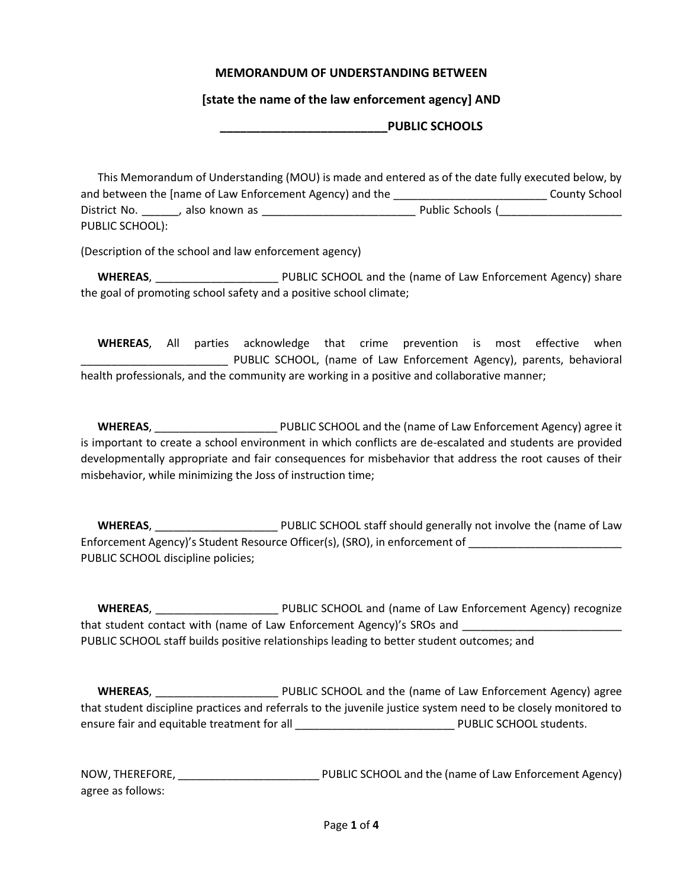## **MEMORANDUM OF UNDERSTANDING BETWEEN**

## **[state the name of the law enforcement agency] AND**

**\_\_\_\_\_\_\_\_\_\_\_\_\_\_\_\_\_\_\_\_\_\_\_\_\_PUBLIC SCHOOLS**

 This Memorandum of Understanding (MOU) is made and entered as of the date fully executed below, by and between the [name of Law Enforcement Agency) and the \_\_\_\_\_\_\_\_\_\_\_\_\_\_\_\_\_\_\_\_\_\_\_\_\_\_\_\_\_\_\_\_County School District No. \_\_\_\_\_\_, also known as \_\_\_\_\_\_\_\_\_\_\_\_\_\_\_\_\_\_\_\_\_\_\_\_\_ Public Schools (\_\_\_\_\_\_\_\_\_\_\_\_\_\_\_\_\_\_\_\_ PUBLIC SCHOOL):

(Description of the school and law enforcement agency)

WHEREAS, WHEREAS, PUBLIC SCHOOL and the (name of Law Enforcement Agency) share the goal of promoting school safety and a positive school climate;

 **WHEREAS**, All parties acknowledge that crime prevention is most effective when \_\_\_\_\_\_\_\_\_\_\_\_\_\_\_\_\_\_\_\_\_\_\_\_ PUBLIC SCHOOL, (name of Law Enforcement Agency), parents, behavioral health professionals, and the community are working in a positive and collaborative manner;

 **WHEREAS**, \_\_\_\_\_\_\_\_\_\_\_\_\_\_\_\_\_\_\_\_ PUBLIC SCHOOL and the (name of Law Enforcement Agency) agree it is important to create a school environment in which conflicts are de-escalated and students are provided developmentally appropriate and fair consequences for misbehavior that address the root causes of their misbehavior, while minimizing the Joss of instruction time;

 **WHEREAS**, \_\_\_\_\_\_\_\_\_\_\_\_\_\_\_\_\_\_\_\_ PUBLIC SCHOOL staff should generally not involve the (name of Law Enforcement Agency)'s Student Resource Officer(s), (SRO), in enforcement of \_\_\_\_\_\_\_\_\_\_\_\_\_\_\_\_\_\_\_\_\_\_\_\_ PUBLIC SCHOOL discipline policies;

**WHEREAS, WHEREAS, WHEREAS**, **EXECUTE:** PUBLIC SCHOOL and (name of Law Enforcement Agency) recognize that student contact with (name of Law Enforcement Agency)'s SROs and PUBLIC SCHOOL staff builds positive relationships leading to better student outcomes; and

**WHEREAS, WHEREAS, WHEREAS**, **EXECUTE:** PUBLIC SCHOOL and the (name of Law Enforcement Agency) agree that student discipline practices and referrals to the juvenile justice system need to be closely monitored to ensure fair and equitable treatment for all \_\_\_\_\_\_\_\_\_\_\_\_\_\_\_\_\_\_\_\_\_\_\_\_\_\_ PUBLIC SCHOOL students.

NOW, THEREFORE, \_\_\_\_\_\_\_\_\_\_\_\_\_\_\_\_\_\_\_\_\_\_\_ PUBLIC SCHOOL and the (name of Law Enforcement Agency) agree as follows: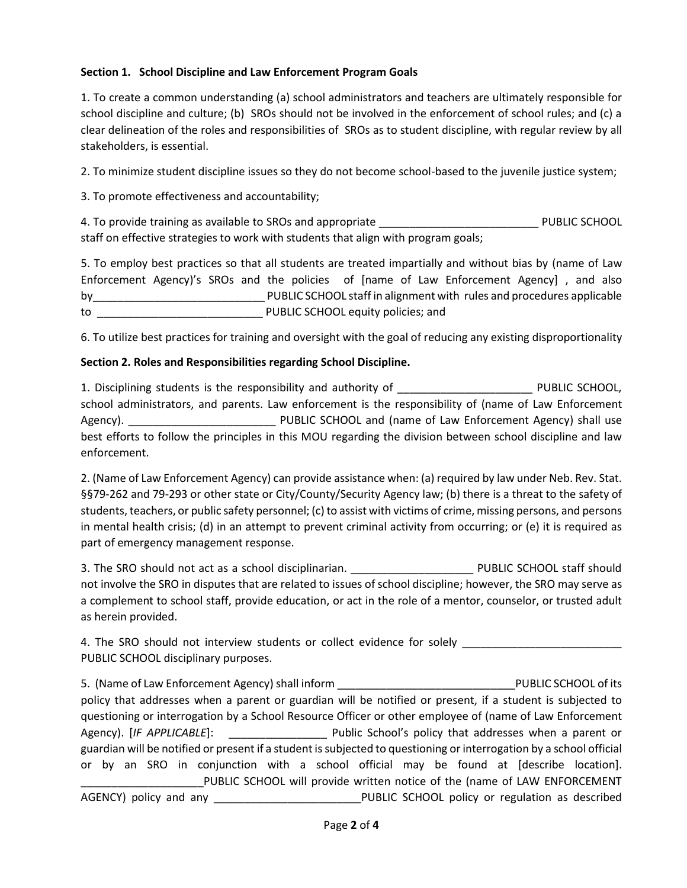## **Section 1. School Discipline and Law Enforcement Program Goals**

1. To create a common understanding (a) school administrators and teachers are ultimately responsible for school discipline and culture; (b) SROs should not be involved in the enforcement of school rules; and (c) a clear delineation of the roles and responsibilities of SROs as to student discipline, with regular review by all stakeholders, is essential.

2. To minimize student discipline issues so they do not become school-based to the juvenile justice system;

3. To promote effectiveness and accountability;

4. To provide training as available to SROs and appropriate \_\_\_\_\_\_\_\_\_\_\_\_\_\_\_\_\_\_\_\_\_\_\_\_\_\_ PUBLIC SCHOOL staff on effective strategies to work with students that align with program goals;

5. To employ best practices so that all students are treated impartially and without bias by (name of Law Enforcement Agency)'s SROs and the policies of [name of Law Enforcement Agency] , and also by\_\_\_\_\_\_\_\_\_\_\_\_\_\_\_\_\_\_\_\_\_\_\_\_\_\_\_\_ PUBLIC SCHOOL staff in alignment with rules and procedures applicable to \_\_\_\_\_\_\_\_\_\_\_\_\_\_\_\_\_\_\_\_\_\_\_\_\_\_\_ PUBLIC SCHOOL equity policies; and

6. To utilize best practices for training and oversight with the goal of reducing any existing disproportionality

## **Section 2. Roles and Responsibilities regarding School Discipline.**

1. Disciplining students is the responsibility and authority of \_\_\_\_\_\_\_\_\_\_\_\_\_\_\_\_\_\_\_\_\_\_ PUBLIC SCHOOL, school administrators, and parents. Law enforcement is the responsibility of (name of Law Enforcement Agency). \_\_\_\_\_\_\_\_\_\_\_\_\_\_\_\_\_\_\_\_\_\_\_\_ PUBLIC SCHOOL and (name of Law Enforcement Agency) shall use best efforts to follow the principles in this MOU regarding the division between school discipline and law enforcement.

2. (Name of Law Enforcement Agency) can provide assistance when: (a) required by law under Neb. Rev. Stat. §§79-262 and 79-293 or other state or City/County/Security Agency law; (b) there is a threat to the safety of students, teachers, or public safety personnel; (c) to assist with victims of crime, missing persons, and persons in mental health crisis; (d) in an attempt to prevent criminal activity from occurring; or (e) it is required as part of emergency management response.

3. The SRO should not act as a school disciplinarian. \_\_\_\_\_\_\_\_\_\_\_\_\_\_\_\_\_\_\_\_\_\_\_\_\_\_\_ PUBLIC SCHOOL staff should not involve the SRO in disputes that are related to issues of school discipline; however, the SRO may serve as a complement to school staff, provide education, or act in the role of a mentor, counselor, or trusted adult as herein provided.

4. The SRO should not interview students or collect evidence for solely \_\_\_\_\_\_\_\_\_\_\_\_\_\_\_\_\_\_\_\_\_\_\_\_\_\_\_\_ PUBLIC SCHOOL disciplinary purposes.

5. (Name of Law Enforcement Agency) shall inform \_\_\_\_\_\_\_\_\_\_\_\_\_\_\_\_\_\_\_\_\_\_\_\_\_\_\_\_\_PUBLIC SCHOOL of its policy that addresses when a parent or guardian will be notified or present, if a student is subjected to questioning or interrogation by a School Resource Officer or other employee of (name of Law Enforcement Agency). [IF APPLICABLE]: **we can construct a partial construct** Public School's policy that addresses when a parent or guardian will be notified or present if a student is subjected to questioning or interrogation by a school official or by an SRO in conjunction with a school official may be found at [describe location]. \_\_\_\_\_\_\_\_\_\_\_\_\_\_\_\_\_\_\_\_PUBLIC SCHOOL will provide written notice of the (name of LAW ENFORCEMENT AGENCY) policy and any **EXECUTE 2006 PUBLIC SCHOOL policy or regulation as described**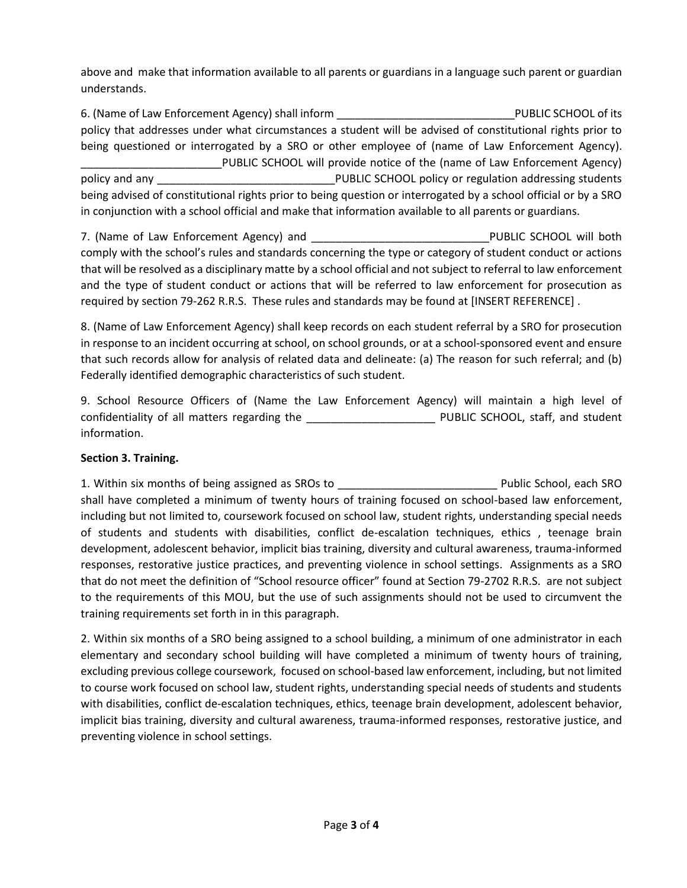above and make that information available to all parents or guardians in a language such parent or guardian understands.

6. (Name of Law Enforcement Agency) shall inform \_\_\_\_\_\_\_\_\_\_\_\_\_\_\_\_\_\_\_\_\_\_\_\_\_\_\_\_\_PUBLIC SCHOOL of its policy that addresses under what circumstances a student will be advised of constitutional rights prior to being questioned or interrogated by a SRO or other employee of (name of Law Enforcement Agency). \_\_\_\_\_\_\_\_\_\_\_\_\_\_\_\_\_\_\_\_\_\_\_PUBLIC SCHOOL will provide notice of the (name of Law Enforcement Agency) policy and any the contract of the PUBLIC SCHOOL policy or regulation addressing students being advised of constitutional rights prior to being question or interrogated by a school official or by a SRO in conjunction with a school official and make that information available to all parents or guardians.

7. (Name of Law Enforcement Agency) and **Engles PUBLIC SCHOOL will both** comply with the school's rules and standards concerning the type or category of student conduct or actions that will be resolved as a disciplinary matte by a school official and not subject to referral to law enforcement and the type of student conduct or actions that will be referred to law enforcement for prosecution as required by section 79-262 R.R.S. These rules and standards may be found at [INSERT REFERENCE] .

8. (Name of Law Enforcement Agency) shall keep records on each student referral by a SRO for prosecution in response to an incident occurring at school, on school grounds, or at a school-sponsored event and ensure that such records allow for analysis of related data and delineate: (a) The reason for such referral; and (b) Federally identified demographic characteristics of such student.

9. School Resource Officers of (Name the Law Enforcement Agency) will maintain a high level of confidentiality of all matters regarding the \_\_\_\_\_\_\_\_\_\_\_\_\_\_\_\_\_\_\_\_\_ PUBLIC SCHOOL, staff, and student information.

# **Section 3. Training.**

1. Within six months of being assigned as SROs to \_\_\_\_\_\_\_\_\_\_\_\_\_\_\_\_\_\_\_\_\_\_\_\_\_\_ Public School, each SRO shall have completed a minimum of twenty hours of training focused on school-based law enforcement, including but not limited to, coursework focused on school law, student rights, understanding special needs of students and students with disabilities, conflict de-escalation techniques, ethics , teenage brain development, adolescent behavior, implicit bias training, diversity and cultural awareness, trauma-informed responses, restorative justice practices, and preventing violence in school settings. Assignments as a SRO that do not meet the definition of "School resource officer" found at Section 79-2702 R.R.S. are not subject to the requirements of this MOU, but the use of such assignments should not be used to circumvent the training requirements set forth in in this paragraph.

2. Within six months of a SRO being assigned to a school building, a minimum of one administrator in each elementary and secondary school building will have completed a minimum of twenty hours of training, excluding previous college coursework, focused on school-based law enforcement, including, but not limited to course work focused on school law, student rights, understanding special needs of students and students with disabilities, conflict de-escalation techniques, ethics, teenage brain development, adolescent behavior, implicit bias training, diversity and cultural awareness, trauma-informed responses, restorative justice, and preventing violence in school settings.